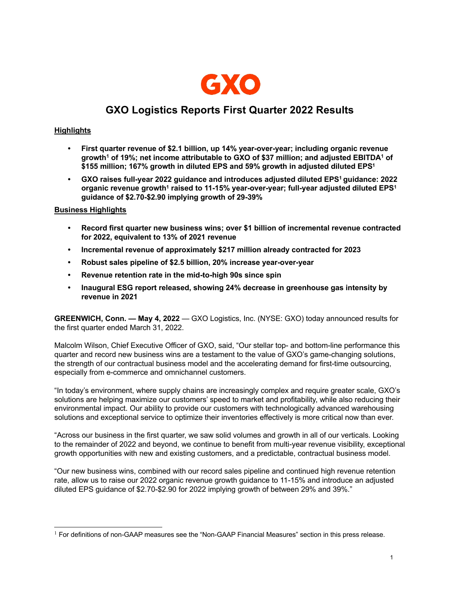

# **GXO Logistics Reports First Quarter 2022 Results**

# **Highlights**

- **• First quarter revenue of \$2.1 billion, up 14% year-over-year; including organic revenue growth1 of 19%; net income attributable to GXO of \$37 million; and adjusted EBITDA1 of \$155 million; 167% growth in diluted EPS and 59% growth in adjusted diluted EPS1**
- **• GXO raises full-year 2022 guidance and introduces adjusted diluted EPS1 guidance: 2022**  organic revenue growth<sup>1</sup> raised to 11-15% year-over-year; full-year adjusted diluted EPS<sup>1</sup> **guidance of \$2.70-\$2.90 implying growth of 29-39%**

# **Business Highlights**

- **• Record first quarter new business wins; over \$1 billion of incremental revenue contracted for 2022, equivalent to 13% of 2021 revenue**
- **• Incremental revenue of approximately \$217 million already contracted for 2023**
- **• Robust sales pipeline of \$2.5 billion, 20% increase year-over-year**
- **• Revenue retention rate in the mid-to-high 90s since spin**
- **• Inaugural ESG report released, showing 24% decrease in greenhouse gas intensity by revenue in 2021**

**GREENWICH, Conn. — May 4, 2022** — GXO Logistics, Inc. (NYSE: GXO) today announced results for the first quarter ended March 31, 2022.

Malcolm Wilson, Chief Executive Officer of GXO, said, "Our stellar top- and bottom-line performance this quarter and record new business wins are a testament to the value of GXO's game-changing solutions, the strength of our contractual business model and the accelerating demand for first-time outsourcing, especially from e-commerce and omnichannel customers.

"In today's environment, where supply chains are increasingly complex and require greater scale, GXO's solutions are helping maximize our customers' speed to market and profitability, while also reducing their environmental impact. Our ability to provide our customers with technologically advanced warehousing solutions and exceptional service to optimize their inventories effectively is more critical now than ever.

"Across our business in the first quarter, we saw solid volumes and growth in all of our verticals. Looking to the remainder of 2022 and beyond, we continue to benefit from multi-year revenue visibility, exceptional growth opportunities with new and existing customers, and a predictable, contractual business model.

"Our new business wins, combined with our record sales pipeline and continued high revenue retention rate, allow us to raise our 2022 organic revenue growth guidance to 11-15% and introduce an adjusted diluted EPS guidance of \$2.70-\$2.90 for 2022 implying growth of between 29% and 39%."

 $1$  For definitions of non-GAAP measures see the "Non-GAAP Financial Measures" section in this press release.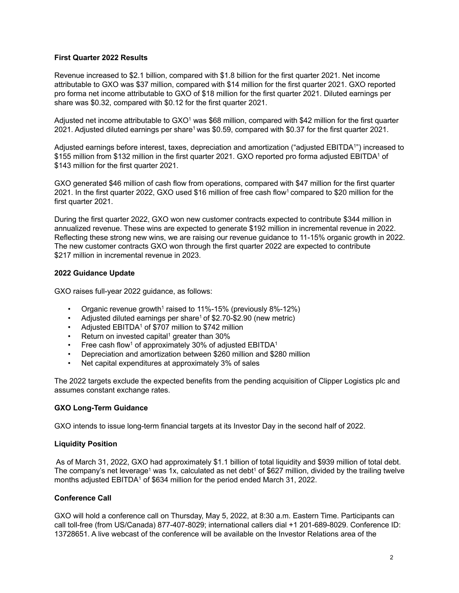## **First Quarter 2022 Results**

Revenue increased to \$2.1 billion, compared with \$1.8 billion for the first quarter 2021. Net income attributable to GXO was \$37 million, compared with \$14 million for the first quarter 2021. GXO reported pro forma net income attributable to GXO of \$18 million for the first quarter 2021. Diluted earnings per share was \$0.32, compared with \$0.12 for the first quarter 2021.

Adjusted net income attributable to  $GXO<sup>1</sup>$  was \$68 million, compared with \$42 million for the first quarter 2021. Adjusted diluted earnings per share<sup>1</sup> was \$0.59, compared with \$0.37 for the first quarter 2021.

Adjusted earnings before interest, taxes, depreciation and amortization ("adjusted EBITDA1") increased to \$155 million from \$132 million in the first quarter 2021. GXO reported pro forma adjusted EBITDA1 of \$143 million for the first quarter 2021.

GXO generated \$46 million of cash flow from operations, compared with \$47 million for the first quarter 2021. In the first quarter 2022, GXO used \$16 million of free cash flow<sup>1</sup> compared to \$20 million for the first quarter 2021.

During the first quarter 2022, GXO won new customer contracts expected to contribute \$344 million in annualized revenue. These wins are expected to generate \$192 million in incremental revenue in 2022. Reflecting these strong new wins, we are raising our revenue guidance to 11-15% organic growth in 2022. The new customer contracts GXO won through the first quarter 2022 are expected to contribute \$217 million in incremental revenue in 2023.

## **2022 Guidance Update**

GXO raises full-year 2022 guidance, as follows:

- Organic revenue growth<sup>1</sup> raised to 11%-15% (previously 8%-12%)
- Adjusted diluted earnings per share<sup>1</sup> of \$2.70-\$2.90 (new metric)
- Adjusted EBITDA<sup>1</sup> of \$707 million to \$742 million
- Return on invested capital<sup>1</sup> greater than  $30\%$
- Free cash flow<sup>1</sup> of approximately 30% of adjusted EBITDA<sup>1</sup>
- Depreciation and amortization between \$260 million and \$280 million
- Net capital expenditures at approximately 3% of sales

The 2022 targets exclude the expected benefits from the pending acquisition of Clipper Logistics plc and assumes constant exchange rates.

#### **GXO Long-Term Guidance**

GXO intends to issue long-term financial targets at its Investor Day in the second half of 2022.

#### **Liquidity Position**

As of March 31, 2022, GXO had approximately \$1.1 billion of total liquidity and \$939 million of total debt. The company's net leverage<sup>1</sup> was 1x, calculated as net debt<sup>1</sup> of \$627 million, divided by the trailing twelve months adjusted EBITDA<sup>1</sup> of \$634 million for the period ended March 31, 2022.

#### **Conference Call**

GXO will hold a conference call on Thursday, May 5, 2022, at 8:30 a.m. Eastern Time. Participants can call toll-free (from US/Canada) 877-407-8029; international callers dial +1 201-689-8029. Conference ID: 13728651. A live webcast of the conference will be available on the Investor Relations area of the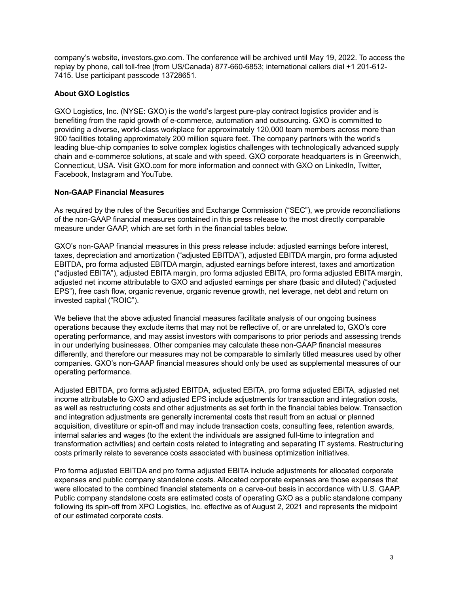company's website, investors.gxo.com. The conference will be archived until May 19, 2022. To access the replay by phone, call toll-free (from US/Canada) 877-660-6853; international callers dial +1 201-612- 7415. Use participant passcode 13728651.

# **About GXO Logistics**

GXO Logistics, Inc. (NYSE: GXO) is the world's largest pure-play contract logistics provider and is benefiting from the rapid growth of e-commerce, automation and outsourcing. GXO is committed to providing a diverse, world-class workplace for approximately 120,000 team members across more than 900 facilities totaling approximately 200 million square feet. The company partners with the world's leading blue-chip companies to solve complex logistics challenges with technologically advanced supply chain and e-commerce solutions, at scale and with speed. GXO corporate headquarters is in Greenwich, Connecticut, USA. Visit GXO.com for more information and connect with GXO on LinkedIn, Twitter, Facebook, Instagram and YouTube.

# **Non-GAAP Financial Measures**

As required by the rules of the Securities and Exchange Commission ("SEC"), we provide reconciliations of the non-GAAP financial measures contained in this press release to the most directly comparable measure under GAAP, which are set forth in the financial tables below.

GXO's non-GAAP financial measures in this press release include: adjusted earnings before interest, taxes, depreciation and amortization ("adjusted EBITDA"), adjusted EBITDA margin, pro forma adjusted EBITDA, pro forma adjusted EBITDA margin, adjusted earnings before interest, taxes and amortization ("adjusted EBITA"), adjusted EBITA margin, pro forma adjusted EBITA, pro forma adjusted EBITA margin, adjusted net income attributable to GXO and adjusted earnings per share (basic and diluted) ("adjusted EPS"), free cash flow, organic revenue, organic revenue growth, net leverage, net debt and return on invested capital ("ROIC").

We believe that the above adjusted financial measures facilitate analysis of our ongoing business operations because they exclude items that may not be reflective of, or are unrelated to, GXO's core operating performance, and may assist investors with comparisons to prior periods and assessing trends in our underlying businesses. Other companies may calculate these non-GAAP financial measures differently, and therefore our measures may not be comparable to similarly titled measures used by other companies. GXO's non-GAAP financial measures should only be used as supplemental measures of our operating performance.

Adjusted EBITDA, pro forma adjusted EBITDA, adjusted EBITA, pro forma adjusted EBITA, adjusted net income attributable to GXO and adjusted EPS include adjustments for transaction and integration costs, as well as restructuring costs and other adjustments as set forth in the financial tables below. Transaction and integration adjustments are generally incremental costs that result from an actual or planned acquisition, divestiture or spin-off and may include transaction costs, consulting fees, retention awards, internal salaries and wages (to the extent the individuals are assigned full-time to integration and transformation activities) and certain costs related to integrating and separating IT systems. Restructuring costs primarily relate to severance costs associated with business optimization initiatives.

Pro forma adjusted EBITDA and pro forma adjusted EBITA include adjustments for allocated corporate expenses and public company standalone costs. Allocated corporate expenses are those expenses that were allocated to the combined financial statements on a carve-out basis in accordance with U.S. GAAP. Public company standalone costs are estimated costs of operating GXO as a public standalone company following its spin-off from XPO Logistics, Inc. effective as of August 2, 2021 and represents the midpoint of our estimated corporate costs.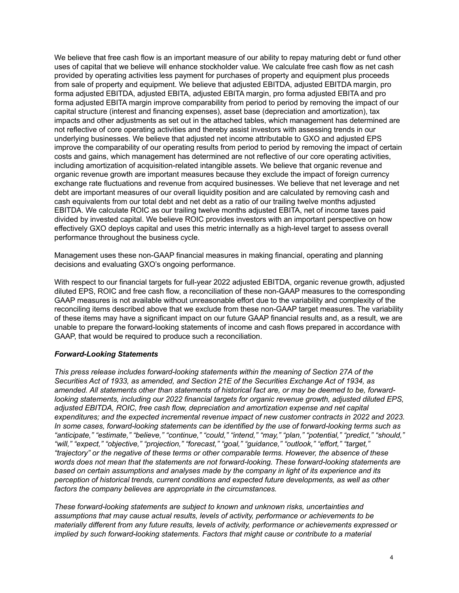We believe that free cash flow is an important measure of our ability to repay maturing debt or fund other uses of capital that we believe will enhance stockholder value. We calculate free cash flow as net cash provided by operating activities less payment for purchases of property and equipment plus proceeds from sale of property and equipment. We believe that adjusted EBITDA, adjusted EBITDA margin, pro forma adjusted EBITDA, adjusted EBITA, adjusted EBITA margin, pro forma adjusted EBITA and pro forma adjusted EBITA margin improve comparability from period to period by removing the impact of our capital structure (interest and financing expenses), asset base (depreciation and amortization), tax impacts and other adjustments as set out in the attached tables, which management has determined are not reflective of core operating activities and thereby assist investors with assessing trends in our underlying businesses. We believe that adjusted net income attributable to GXO and adjusted EPS improve the comparability of our operating results from period to period by removing the impact of certain costs and gains, which management has determined are not reflective of our core operating activities, including amortization of acquisition-related intangible assets. We believe that organic revenue and organic revenue growth are important measures because they exclude the impact of foreign currency exchange rate fluctuations and revenue from acquired businesses. We believe that net leverage and net debt are important measures of our overall liquidity position and are calculated by removing cash and cash equivalents from our total debt and net debt as a ratio of our trailing twelve months adjusted EBITDA. We calculate ROIC as our trailing twelve months adjusted EBITA, net of income taxes paid divided by invested capital. We believe ROIC provides investors with an important perspective on how effectively GXO deploys capital and uses this metric internally as a high-level target to assess overall performance throughout the business cycle.

Management uses these non-GAAP financial measures in making financial, operating and planning decisions and evaluating GXO's ongoing performance.

With respect to our financial targets for full-year 2022 adjusted EBITDA, organic revenue growth, adjusted diluted EPS, ROIC and free cash flow, a reconciliation of these non-GAAP measures to the corresponding GAAP measures is not available without unreasonable effort due to the variability and complexity of the reconciling items described above that we exclude from these non-GAAP target measures. The variability of these items may have a significant impact on our future GAAP financial results and, as a result, we are unable to prepare the forward-looking statements of income and cash flows prepared in accordance with GAAP, that would be required to produce such a reconciliation.

#### *Forward-Looking Statements*

*This press release includes forward-looking statements within the meaning of Section 27A of the Securities Act of 1933, as amended, and Section 21E of the Securities Exchange Act of 1934, as amended. All statements other than statements of historical fact are, or may be deemed to be, forwardlooking statements, including our 2022 financial targets for organic revenue growth, adjusted diluted EPS, adjusted EBITDA, ROIC, free cash flow, depreciation and amortization expense and net capital expenditures; and the expected incremental revenue impact of new customer contracts in 2022 and 2023. In some cases, forward-looking statements can be identified by the use of forward-looking terms such as "anticipate," "estimate," "believe," "continue," "could," "intend," "may," "plan," "potential," "predict," "should," "will," "expect," "objective," "projection," "forecast," "goal," "guidance," "outlook," "effort," "target," "trajectory" or the negative of these terms or other comparable terms. However, the absence of these words does not mean that the statements are not forward-looking. These forward-looking statements are based on certain assumptions and analyses made by the company in light of its experience and its perception of historical trends, current conditions and expected future developments, as well as other factors the company believes are appropriate in the circumstances.*

*These forward-looking statements are subject to known and unknown risks, uncertainties and assumptions that may cause actual results, levels of activity, performance or achievements to be materially different from any future results, levels of activity, performance or achievements expressed or implied by such forward-looking statements. Factors that might cause or contribute to a material*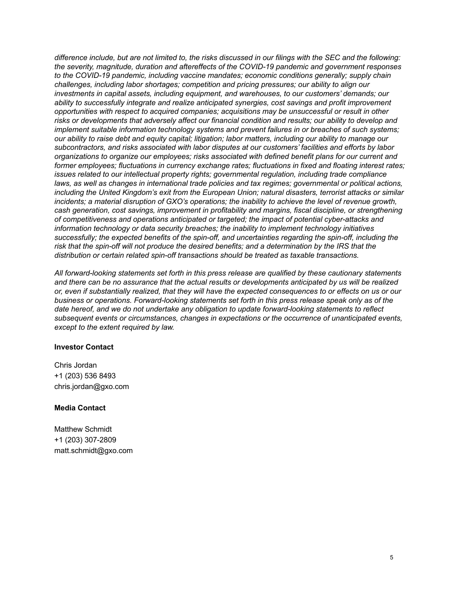*difference include, but are not limited to, the risks discussed in our filings with the SEC and the following: the severity, magnitude, duration and aftereffects of the COVID-19 pandemic and government responses to the COVID-19 pandemic, including vaccine mandates; economic conditions generally; supply chain challenges, including labor shortages; competition and pricing pressures; our ability to align our investments in capital assets, including equipment, and warehouses, to our customers' demands; our ability to successfully integrate and realize anticipated synergies, cost savings and profit improvement opportunities with respect to acquired companies; acquisitions may be unsuccessful or result in other risks or developments that adversely affect our financial condition and results; our ability to develop and implement suitable information technology systems and prevent failures in or breaches of such systems; our ability to raise debt and equity capital; litigation; labor matters, including our ability to manage our subcontractors, and risks associated with labor disputes at our customers' facilities and efforts by labor organizations to organize our employees; risks associated with defined benefit plans for our current and former employees; fluctuations in currency exchange rates; fluctuations in fixed and floating interest rates; issues related to our intellectual property rights; governmental regulation, including trade compliance laws, as well as changes in international trade policies and tax regimes; governmental or political actions, including the United Kingdom's exit from the European Union; natural disasters, terrorist attacks or similar incidents; a material disruption of GXO's operations; the inability to achieve the level of revenue growth, cash generation, cost savings, improvement in profitability and margins, fiscal discipline, or strengthening of competitiveness and operations anticipated or targeted; the impact of potential cyber-attacks and information technology or data security breaches; the inability to implement technology initiatives successfully; the expected benefits of the spin-off, and uncertainties regarding the spin-off, including the*  risk that the spin-off will not produce the desired benefits; and a determination by the IRS that the *distribution or certain related spin-off transactions should be treated as taxable transactions.*

*All forward-looking statements set forth in this press release are qualified by these cautionary statements and there can be no assurance that the actual results or developments anticipated by us will be realized or, even if substantially realized, that they will have the expected consequences to or effects on us or our business or operations. Forward-looking statements set forth in this press release speak only as of the date hereof, and we do not undertake any obligation to update forward-looking statements to reflect subsequent events or circumstances, changes in expectations or the occurrence of unanticipated events, except to the extent required by law.*

#### **Investor Contact**

Chris Jordan +1 (203) 536 8493 chris.jordan@gxo.com

#### **Media Contact**

Matthew Schmidt +1 (203) 307-2809 matt.schmidt@gxo.com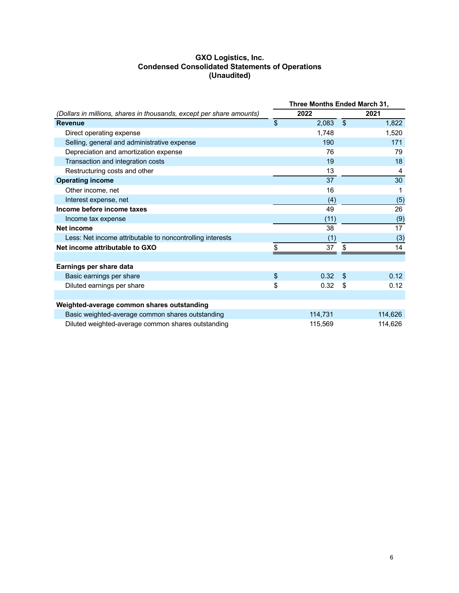## **GXO Logistics, Inc. Condensed Consolidated Statements of Operations (Unaudited)**

|                                                                      | Three Months Ended March 31, |         |                |                 |
|----------------------------------------------------------------------|------------------------------|---------|----------------|-----------------|
| (Dollars in millions, shares in thousands, except per share amounts) |                              | 2022    |                | 2021            |
| <b>Revenue</b>                                                       | $\mathfrak{S}$               | 2,083   | $\mathfrak{F}$ | 1,822           |
| Direct operating expense                                             |                              | 1,748   |                | 1,520           |
| Selling, general and administrative expense                          |                              | 190     |                | 171             |
| Depreciation and amortization expense                                |                              | 76      |                | 79              |
| Transaction and integration costs                                    |                              | 19      |                | 18              |
| Restructuring costs and other                                        |                              | 13      |                | 4               |
| <b>Operating income</b>                                              |                              | 37      |                | 30              |
| Other income, net                                                    |                              | 16      |                |                 |
| Interest expense, net                                                |                              | (4)     |                | (5)             |
| Income before income taxes                                           |                              | 49      |                | 26              |
| Income tax expense                                                   |                              | (11)    |                | (9)             |
| Net income                                                           |                              | 38      |                | $\overline{17}$ |
| Less: Net income attributable to noncontrolling interests            |                              | (1)     |                | (3)             |
| Net income attributable to GXO                                       | \$                           | 37      | \$             | 14              |
|                                                                      |                              |         |                |                 |
| Earnings per share data                                              |                              |         |                |                 |
| Basic earnings per share                                             | $\mathcal{L}$                | 0.32    | $\mathfrak{L}$ | 0.12            |
| Diluted earnings per share                                           | \$                           | 0.32    | \$             | 0.12            |
|                                                                      |                              |         |                |                 |
| Weighted-average common shares outstanding                           |                              |         |                |                 |
| Basic weighted-average common shares outstanding                     |                              | 114,731 |                | 114,626         |
| Diluted weighted-average common shares outstanding                   |                              | 115,569 |                | 114,626         |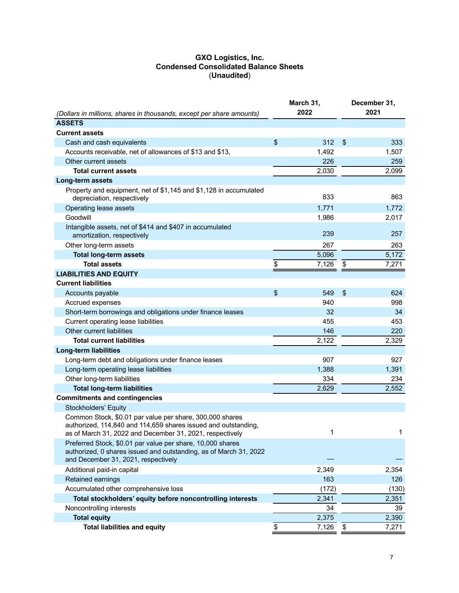#### **GXO Logistics, Inc. Condensed Consolidated Balance Sheets** (**Unaudited**)

| (Dollars in millions, shares in thousands, except per share amounts)                                                                                                                   | March 31,<br>2022 |       |                           | December 31,<br>2021 |  |  |
|----------------------------------------------------------------------------------------------------------------------------------------------------------------------------------------|-------------------|-------|---------------------------|----------------------|--|--|
| <b>ASSETS</b>                                                                                                                                                                          |                   |       |                           |                      |  |  |
| <b>Current assets</b>                                                                                                                                                                  |                   |       |                           |                      |  |  |
| Cash and cash equivalents                                                                                                                                                              | $\frac{1}{2}$     | 312   | $\boldsymbol{\mathsf{S}}$ | 333                  |  |  |
| Accounts receivable, net of allowances of \$13 and \$13,                                                                                                                               |                   | 1,492 |                           | 1,507                |  |  |
| Other current assets                                                                                                                                                                   |                   | 226   |                           | 259                  |  |  |
| <b>Total current assets</b>                                                                                                                                                            |                   | 2,030 |                           | 2,099                |  |  |
| Long-term assets                                                                                                                                                                       |                   |       |                           |                      |  |  |
| Property and equipment, net of \$1,145 and \$1,128 in accumulated<br>depreciation, respectively                                                                                        |                   | 833   |                           | 863                  |  |  |
| Operating lease assets                                                                                                                                                                 |                   | 1,771 |                           | 1,772                |  |  |
| Goodwill                                                                                                                                                                               |                   | 1,986 |                           | 2,017                |  |  |
| Intangible assets, net of \$414 and \$407 in accumulated<br>amortization, respectively                                                                                                 |                   | 239   |                           | 257                  |  |  |
| Other long-term assets                                                                                                                                                                 |                   | 267   |                           | 263                  |  |  |
| <b>Total long-term assets</b>                                                                                                                                                          |                   | 5,096 |                           | 5,172                |  |  |
| <b>Total assets</b>                                                                                                                                                                    | \$                | 7,126 | \$                        | 7,271                |  |  |
| <b>LIABILITIES AND EQUITY</b>                                                                                                                                                          |                   |       |                           |                      |  |  |
| <b>Current liabilities</b>                                                                                                                                                             |                   |       |                           |                      |  |  |
| Accounts payable                                                                                                                                                                       | $\frac{1}{2}$     | 549   | $\boldsymbol{\mathsf{S}}$ | 624                  |  |  |
| Accrued expenses                                                                                                                                                                       |                   | 940   |                           | 998                  |  |  |
| Short-term borrowings and obligations under finance leases                                                                                                                             |                   | 32    |                           | 34                   |  |  |
| Current operating lease liabilities                                                                                                                                                    |                   | 455   |                           | 453                  |  |  |
| Other current liabilities                                                                                                                                                              |                   | 146   |                           | 220                  |  |  |
| <b>Total current liabilities</b>                                                                                                                                                       |                   | 2,122 |                           | 2,329                |  |  |
| <b>Long-term liabilities</b>                                                                                                                                                           |                   |       |                           |                      |  |  |
| Long-term debt and obligations under finance leases                                                                                                                                    |                   | 907   |                           | 927                  |  |  |
| Long-term operating lease liabilities                                                                                                                                                  |                   | 1,388 |                           | 1,391                |  |  |
| Other long-term liabilities                                                                                                                                                            |                   | 334   |                           | 234                  |  |  |
| <b>Total long-term liabilities</b>                                                                                                                                                     |                   | 2,629 |                           | 2,552                |  |  |
| <b>Commitments and contingencies</b>                                                                                                                                                   |                   |       |                           |                      |  |  |
| Stockholders' Equity                                                                                                                                                                   |                   |       |                           |                      |  |  |
| Common Stock, \$0.01 par value per share, 300,000 shares<br>authorized, 114,840 and 114,659 shares issued and outstanding,<br>as of March 31, 2022 and December 31, 2021, respectively |                   | 1     |                           | 1                    |  |  |
| Preferred Stock, \$0.01 par value per share, 10,000 shares<br>authorized, 0 shares issued and outstanding, as of March 31, 2022<br>and December 31, 2021, respectively                 |                   |       |                           |                      |  |  |
| Additional paid-in capital                                                                                                                                                             |                   | 2,349 |                           | 2,354                |  |  |
| Retained earnings                                                                                                                                                                      |                   | 163   |                           | 126                  |  |  |
| Accumulated other comprehensive loss                                                                                                                                                   |                   | (172) |                           | (130)                |  |  |
| Total stockholders' equity before noncontrolling interests                                                                                                                             |                   | 2,341 |                           | 2,351                |  |  |
| Noncontrolling interests                                                                                                                                                               |                   | 34    |                           | 39                   |  |  |
| <b>Total equity</b>                                                                                                                                                                    |                   | 2,375 |                           | 2,390                |  |  |
| <b>Total liabilities and equity</b>                                                                                                                                                    | \$                | 7,126 | \$                        | 7,271                |  |  |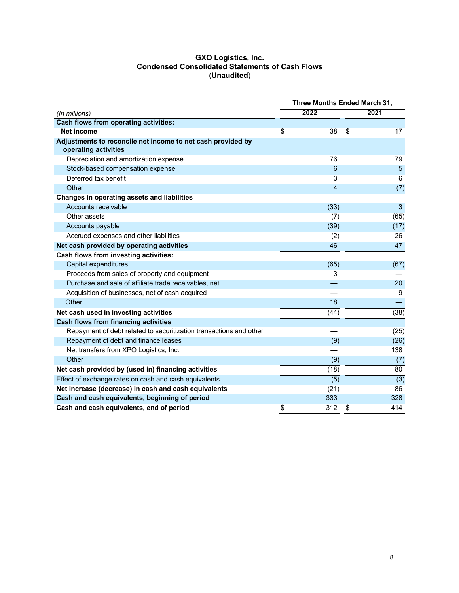## **GXO Logistics, Inc. Condensed Consolidated Statements of Cash Flows** (**Unaudited**)

|                                                                                     | Three Months Ended March 31, |                  |                 |                  |
|-------------------------------------------------------------------------------------|------------------------------|------------------|-----------------|------------------|
| (In millions)                                                                       |                              | 2022             |                 | 2021             |
| <b>Cash flows from operating activities:</b>                                        |                              |                  |                 |                  |
| <b>Net income</b>                                                                   | \$                           | 38               | \$              | 17               |
| Adjustments to reconcile net income to net cash provided by<br>operating activities |                              |                  |                 |                  |
| Depreciation and amortization expense                                               |                              | 76               |                 | 79               |
| Stock-based compensation expense                                                    |                              | 6                |                 | 5                |
| Deferred tax benefit                                                                |                              | 3                |                 | 6                |
| Other                                                                               |                              | $\overline{4}$   |                 | (7)              |
| Changes in operating assets and liabilities                                         |                              |                  |                 |                  |
| Accounts receivable                                                                 |                              | (33)             |                 | 3                |
| Other assets                                                                        |                              | (7)              |                 | (65)             |
| Accounts payable                                                                    |                              | (39)             |                 | (17)             |
| Accrued expenses and other liabilities                                              |                              | (2)              |                 | 26               |
| Net cash provided by operating activities                                           |                              | 46               |                 | 47               |
| <b>Cash flows from investing activities:</b>                                        |                              |                  |                 |                  |
| Capital expenditures                                                                |                              | (65)             |                 | (67)             |
| Proceeds from sales of property and equipment                                       |                              | 3                |                 |                  |
| Purchase and sale of affiliate trade receivables, net                               |                              |                  |                 | 20               |
| Acquisition of businesses, net of cash acquired                                     |                              |                  |                 | 9                |
| Other                                                                               |                              | 18               |                 |                  |
| Net cash used in investing activities                                               |                              | (44)             |                 | (38)             |
| <b>Cash flows from financing activities</b>                                         |                              |                  |                 |                  |
| Repayment of debt related to securitization transactions and other                  |                              |                  |                 | (25)             |
| Repayment of debt and finance leases                                                |                              | (9)              |                 | (26)             |
| Net transfers from XPO Logistics, Inc.                                              |                              |                  |                 | 138              |
| Other                                                                               |                              | (9)              |                 | (7)              |
| Net cash provided by (used in) financing activities                                 |                              | (18)             |                 | 80               |
| Effect of exchange rates on cash and cash equivalents                               |                              | $\overline{(5)}$ |                 | $\overline{(3)}$ |
| Net increase (decrease) in cash and cash equivalents                                |                              | (21)             |                 | 86               |
| Cash and cash equivalents, beginning of period                                      |                              | 333              |                 | 328              |
| Cash and cash equivalents, end of period                                            | \$                           | 312              | $\overline{\$}$ | 414              |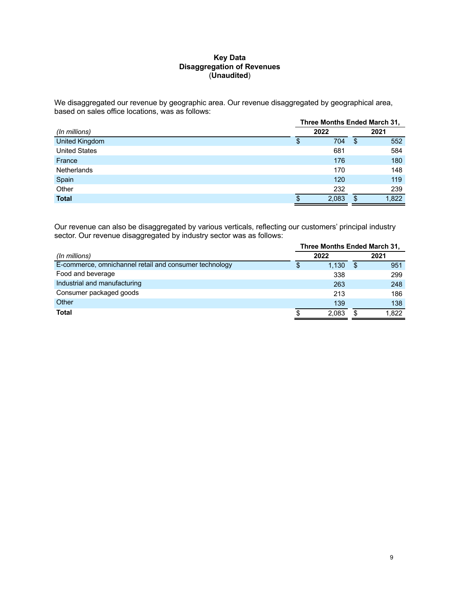## **Key Data Disaggregation of Revenues** (**Unaudited**)

We disaggregated our revenue by geographic area. Our revenue disaggregated by geographical area, based on sales office locations, was as follows:

|                      | Three Months Ended March 31, |       |     |       |
|----------------------|------------------------------|-------|-----|-------|
| (In millions)        |                              | 2022  |     | 2021  |
| United Kingdom       | \$                           | 704   | \$  | 552   |
| <b>United States</b> |                              | 681   |     | 584   |
| France               |                              | 176   |     | 180   |
| <b>Netherlands</b>   |                              | 170   |     | 148   |
| Spain                |                              | 120   |     | 119   |
| Other                |                              | 232   |     | 239   |
| <b>Total</b>         | \$.                          | 2,083 | \$. | 1,822 |

Our revenue can also be disaggregated by various verticals, reflecting our customers' principal industry sector. Our revenue disaggregated by industry sector was as follows:

|                                                        | Three Months Ended March 31, |       |    |       |
|--------------------------------------------------------|------------------------------|-------|----|-------|
| (In millions)                                          |                              | 2022  |    | 2021  |
| E-commerce, omnichannel retail and consumer technology | £.                           | 1,130 | \$ | 951   |
| Food and beverage                                      |                              | 338   |    | 299   |
| Industrial and manufacturing                           |                              | 263   |    | 248   |
| Consumer packaged goods                                |                              | 213   |    | 186   |
| Other                                                  |                              | 139   |    | 138   |
| Total                                                  |                              | 2.083 | S  | 1.822 |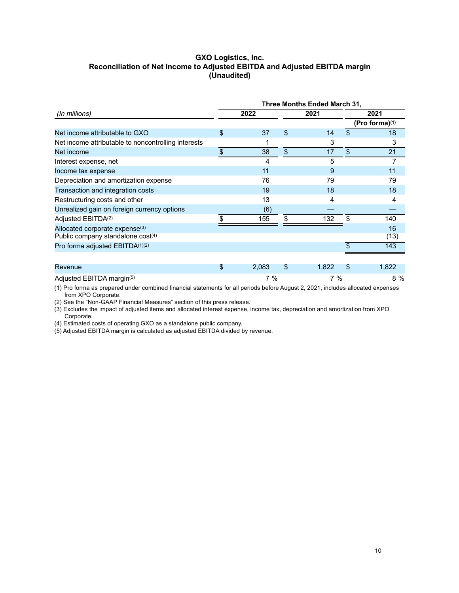# **GXO Logistics, Inc. Reconciliation of Net Income to Adjusted EBITDA and Adjusted EBITDA margin (Unaudited)**

| Three Months Ended March 31,                                                    |                           |       |     |       |               |                            |
|---------------------------------------------------------------------------------|---------------------------|-------|-----|-------|---------------|----------------------------|
| (In millions)                                                                   |                           | 2022  |     | 2021  |               | 2021                       |
|                                                                                 |                           |       |     |       |               | (Pro forma) <sup>(1)</sup> |
| Net income attributable to GXO                                                  | \$                        | 37    | \$  | 14    | \$            | 18                         |
| Net income attributable to noncontrolling interests                             |                           |       |     | 3     |               | 3                          |
| Net income                                                                      | $\boldsymbol{\mathsf{S}}$ | 38    | \$  | 17    | $\mathcal{S}$ | 21                         |
| Interest expense, net                                                           |                           | 4     |     | 5     |               | 7                          |
| Income tax expense                                                              |                           | 11    |     | 9     |               | 11                         |
| Depreciation and amortization expense                                           |                           | 76    |     | 79    |               | 79                         |
| Transaction and integration costs                                               |                           | 19    |     | 18    |               | 18                         |
| Restructuring costs and other                                                   |                           | 13    |     | 4     |               | 4                          |
| Unrealized gain on foreign currency options                                     |                           | (6)   |     |       |               |                            |
| Adjusted EBITDA <sup>(2)</sup>                                                  | \$.                       | 155   | \$. | 132   | \$            | 140                        |
| Allocated corporate expense <sup>(3)</sup><br>Public company standalone cost(4) |                           |       |     |       |               | 16<br>(13)                 |
| Pro forma adjusted EBITDA(1)(2)                                                 |                           |       |     |       | \$            | 143                        |
|                                                                                 |                           |       |     |       |               |                            |
| Revenue                                                                         | \$                        | 2,083 | \$  | 1,822 | S             | 1,822                      |
| Adjusted EBITDA margin(5)                                                       |                           | 7%    |     | 7%    |               | 8 %                        |

(1) Pro forma as prepared under combined financial statements for all periods before August 2, 2021, includes allocated expenses from XPO Corporate.

(2) See the "Non-GAAP Financial Measures" section of this press release.

(3) Excludes the impact of adjusted items and allocated interest expense, income tax, depreciation and amortization from XPO Corporate.

(4) Estimated costs of operating GXO as a standalone public company.

(5) Adjusted EBITDA margin is calculated as adjusted EBITDA divided by revenue.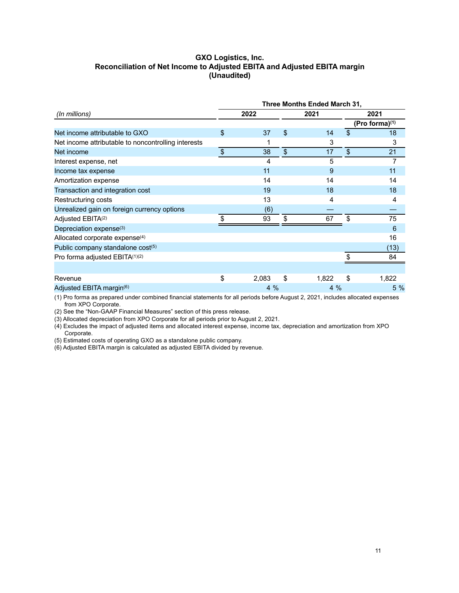# **GXO Logistics, Inc. Reconciliation of Net Income to Adjusted EBITA and Adjusted EBITA margin (Unaudited)**

|                                                     |                           |       |                           | Three Months Ended March 31, |               |                |
|-----------------------------------------------------|---------------------------|-------|---------------------------|------------------------------|---------------|----------------|
| (In millions)                                       |                           | 2022  |                           | 2021                         |               | 2021           |
|                                                     |                           |       |                           |                              |               | (Pro forma)(1) |
| Net income attributable to GXO                      | \$                        | 37    | \$                        | 14                           | $\mathcal{S}$ | 18             |
| Net income attributable to noncontrolling interests |                           |       |                           | 3                            |               | 3              |
| Net income                                          | $\boldsymbol{\mathsf{S}}$ | 38    | $\boldsymbol{\mathsf{S}}$ | 17                           | \$            | 21             |
| Interest expense, net                               |                           | 4     |                           | 5                            |               | 7              |
| Income tax expense                                  |                           | 11    |                           | 9                            |               | 11             |
| Amortization expense                                |                           | 14    |                           | 14                           |               | 14             |
| Transaction and integration cost                    |                           | 19    |                           | 18                           |               | 18             |
| Restructuring costs                                 |                           | 13    |                           | 4                            |               | 4              |
| Unrealized gain on foreign currency options         |                           | (6)   |                           |                              |               |                |
| Adjusted EBITA(2)                                   | \$                        | 93    | \$                        | 67                           | \$            | 75             |
| Depreciation expense <sup>(3)</sup>                 |                           |       |                           |                              |               | 6              |
| Allocated corporate expense <sup>(4)</sup>          |                           |       |                           |                              |               | 16             |
| Public company standalone cost(5)                   |                           |       |                           |                              |               | (13)           |
| Pro forma adjusted EBITA(1)(2)                      |                           |       |                           |                              |               | 84             |
|                                                     |                           |       |                           |                              |               |                |
| Revenue                                             | \$                        | 2,083 | \$                        | 1,822                        | \$            | 1,822          |
| Adjusted EBITA margin <sup>(6)</sup>                |                           | 4%    |                           | 4%                           |               | 5 %            |

(1) Pro forma as prepared under combined financial statements for all periods before August 2, 2021, includes allocated expenses from XPO Corporate.

(2) See the "Non-GAAP Financial Measures" section of this press release.

(3) Allocated depreciation from XPO Corporate for all periods prior to August 2, 2021.

(4) Excludes the impact of adjusted items and allocated interest expense, income tax, depreciation and amortization from XPO Corporate.

(5) Estimated costs of operating GXO as a standalone public company.

(6) Adjusted EBITA margin is calculated as adjusted EBITA divided by revenue.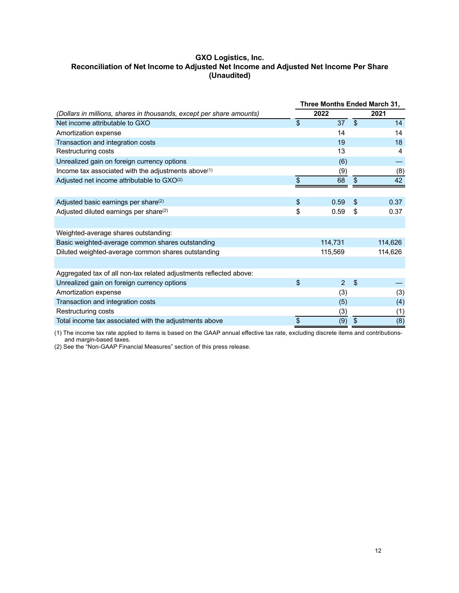# **GXO Logistics, Inc. Reconciliation of Net Income to Adjusted Net Income and Adjusted Net Income Per Share (Unaudited)**

|                                                                      | Three Months Ended March 31, |         |                |         |
|----------------------------------------------------------------------|------------------------------|---------|----------------|---------|
| (Dollars in millions, shares in thousands, except per share amounts) |                              | 2022    |                | 2021    |
| Net income attributable to GXO                                       | \$                           | 37      | $\mathbf{\$}$  | 14      |
| Amortization expense                                                 |                              | 14      |                | 14      |
| Transaction and integration costs                                    |                              | 19      |                | 18      |
| Restructuring costs                                                  |                              | 13      |                | 4       |
| Unrealized gain on foreign currency options                          |                              | (6)     |                |         |
| Income tax associated with the adjustments above(1)                  |                              | (9)     |                | (8)     |
| Adjusted net income attributable to GXO(2)                           | \$                           | 68      | \$             | 42      |
|                                                                      |                              |         |                |         |
| Adjusted basic earnings per share <sup>(2)</sup>                     | \$                           | 0.59    | \$             | 0.37    |
| Adjusted diluted earnings per share <sup>(2)</sup>                   | \$                           | 0.59    | \$             | 0.37    |
|                                                                      |                              |         |                |         |
| Weighted-average shares outstanding:                                 |                              |         |                |         |
| Basic weighted-average common shares outstanding                     |                              | 114,731 |                | 114,626 |
| Diluted weighted-average common shares outstanding                   |                              | 115,569 |                | 114,626 |
|                                                                      |                              |         |                |         |
| Aggregated tax of all non-tax related adjustments reflected above:   |                              |         |                |         |
| Unrealized gain on foreign currency options                          | \$                           | 2       | $\mathfrak{s}$ |         |
| Amortization expense                                                 |                              | (3)     |                | (3)     |
| Transaction and integration costs                                    |                              | (5)     |                | (4)     |
| Restructuring costs                                                  |                              | (3)     |                | (1)     |
| Total income tax associated with the adjustments above               | \$                           | (9)     | \$             | (8)     |

(1) The income tax rate applied to items is based on the GAAP annual effective tax rate, excluding discrete items and contributionsand margin-based taxes.

(2) See the "Non-GAAP Financial Measures" section of this press release.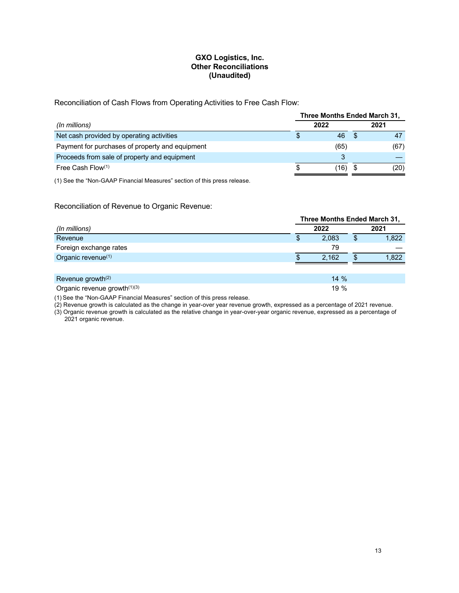# **GXO Logistics, Inc. Other Reconciliations (Unaudited)**

Reconciliation of Cash Flows from Operating Activities to Free Cash Flow:

|                                                 | Three Months Ended March 31, |  |      |  |
|-------------------------------------------------|------------------------------|--|------|--|
| (In millions)                                   | 2022                         |  | 2021 |  |
| Net cash provided by operating activities       | 46                           |  |      |  |
| Payment for purchases of property and equipment | (65)                         |  | (67) |  |
| Proceeds from sale of property and equipment    |                              |  |      |  |
| Free Cash Flow $(1)$                            | (16)                         |  | (20) |  |
|                                                 |                              |  |      |  |

(1) See the "Non-GAAP Financial Measures" section of this press release.

Reconciliation of Revenue to Organic Revenue:

| Three Months Ended March 31,   |   |        |    |       |  |  |
|--------------------------------|---|--------|----|-------|--|--|
| (In millions)                  |   | 2022   |    | 2021  |  |  |
| Revenue                        | S | 2.083  | \$ | 1,822 |  |  |
| Foreign exchange rates         |   | 79     |    |       |  |  |
| Organic revenue <sup>(1)</sup> |   | 2.162  | Œ  | 1,822 |  |  |
|                                |   |        |    |       |  |  |
| Revenue growth <sup>(2)</sup>  |   | $14\%$ |    |       |  |  |

Organic revenue growth<sup>(1)(3)</sup> 19 %

(1) See the "Non-GAAP Financial Measures" section of this press release.

(2) Revenue growth is calculated as the change in year-over year revenue growth, expressed as a percentage of 2021 revenue.

(3) Organic revenue growth is calculated as the relative change in year-over-year organic revenue, expressed as a percentage of 2021 organic revenue.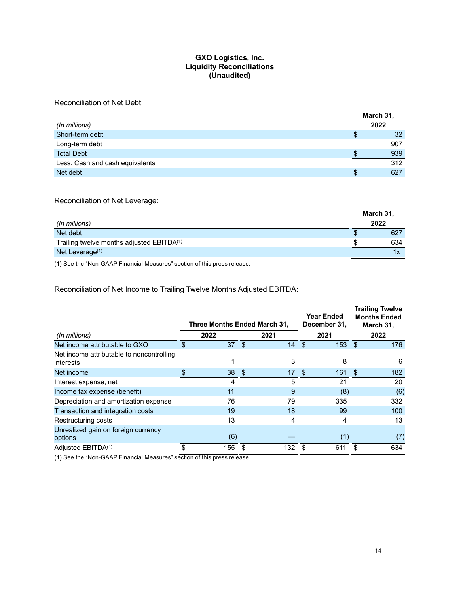# **GXO Logistics, Inc. Liquidity Reconciliations (Unaudited)**

# Reconciliation of Net Debt:

|                                 |    | March 31, |
|---------------------------------|----|-----------|
| (In millions)                   |    | 2022      |
| Short-term debt                 | Φ  | 32        |
| Long-term debt                  |    | 907       |
| <b>Total Debt</b>               | \$ | 939       |
| Less: Cash and cash equivalents |    | 312       |
| Net debt                        |    | 627       |

## Reconciliation of Net Leverage:

|                                                       | March 31, |     |  |
|-------------------------------------------------------|-----------|-----|--|
| (In millions)                                         | 2022      |     |  |
| Net debt                                              |           | 627 |  |
| Trailing twelve months adjusted EBITDA <sup>(1)</sup> |           | 634 |  |
| Net Leverage $(1)$                                    |           | 1x  |  |

(1) See the "Non-GAAP Financial Measures" section of this press release.

Reconciliation of Net Income to Trailing Twelve Months Adjusted EBITDA:

|                                                        | Three Months Ended March 31, |      |      |      |      | <b>Year Ended</b><br>December 31, |    | <b>Trailing Twelve</b><br><b>Months Ended</b><br>March 31, |  |
|--------------------------------------------------------|------------------------------|------|------|------|------|-----------------------------------|----|------------------------------------------------------------|--|
| (In millions)                                          |                              | 2022 |      | 2021 |      | 2021                              |    | 2022                                                       |  |
| Net income attributable to GXO                         | \$                           | 37   | -\$  | 14   | - \$ | $153$ \$                          |    | 176                                                        |  |
| Net income attributable to noncontrolling<br>interests |                              |      |      | 3    |      | 8                                 |    | 6                                                          |  |
| Net income                                             |                              | 38   | - \$ | 17   | \$   | 161                               | \$ | 182                                                        |  |
| Interest expense, net                                  |                              | 4    |      | 5    |      | 21                                |    | 20                                                         |  |
| Income tax expense (benefit)                           |                              | 11   |      | 9    |      | (8)                               |    | (6)                                                        |  |
| Depreciation and amortization expense                  |                              | 76   |      | 79   |      | 335                               |    | 332                                                        |  |
| Transaction and integration costs                      |                              | 19   |      | 18   |      | 99                                |    | 100                                                        |  |
| Restructuring costs                                    |                              | 13   |      | 4    |      | 4                                 |    | 13                                                         |  |
| Unrealized gain on foreign currency<br>options         |                              | (6)  |      |      |      | (1)                               |    | (7)                                                        |  |
| Adjusted EBITDA <sup>(1)</sup>                         |                              | 155  |      | 132  |      | 611                               |    | 634                                                        |  |

(1) See the "Non-GAAP Financial Measures" section of this press release.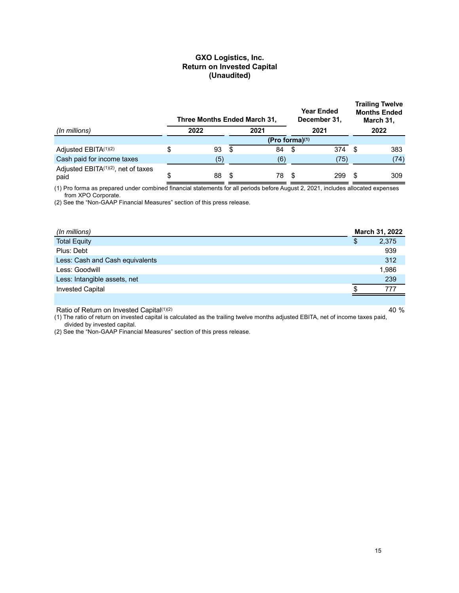## **GXO Logistics, Inc. Return on Invested Capital (Unaudited)**

|                                                         |      | Three Months Ended March 31, |                   | <b>Year Ended</b><br>December 31, |      | <b>Trailing Twelve</b><br><b>Months Ended</b><br>March 31, |      |      |
|---------------------------------------------------------|------|------------------------------|-------------------|-----------------------------------|------|------------------------------------------------------------|------|------|
| (In millions)                                           | 2022 |                              |                   | 2021                              | 2021 |                                                            | 2022 |      |
|                                                         |      |                              | (Pro forma) $(1)$ |                                   |      |                                                            |      |      |
| Adjusted EBITA(1)(2)                                    | S    | 93                           | - \$              | 84                                | \$   | 374                                                        | \$.  | 383  |
| Cash paid for income taxes                              |      | (5)                          |                   | (6)                               |      | (75)                                                       |      | (74) |
| Adjusted EBITA <sup>(1)(2)</sup> , net of taxes<br>paid | \$   | 88                           |                   | 78                                | £.   | 299                                                        |      | 309  |

(1) Pro forma as prepared under combined financial statements for all periods before August 2, 2021, includes allocated expenses from XPO Corporate.

(2) See the "Non-GAAP Financial Measures" section of this press release.

| (In millions)                   |   | March 31, 2022 |
|---------------------------------|---|----------------|
| <b>Total Equity</b>             | Φ | 2,375          |
| Plus: Debt                      |   | 939            |
| Less: Cash and Cash equivalents |   | 312            |
| Less: Goodwill                  |   | 1,986          |
| Less: Intangible assets, net    |   | 239            |
| <b>Invested Capital</b>         |   | 777            |
|                                 |   |                |

Ratio of Return on Invested Capital<sup>(1)(2)</sup> 40 %

(1) The ratio of return on invested capital is calculated as the trailing twelve months adjusted EBITA, net of income taxes paid, divided by invested capital.

(2) See the "Non-GAAP Financial Measures" section of this press release.